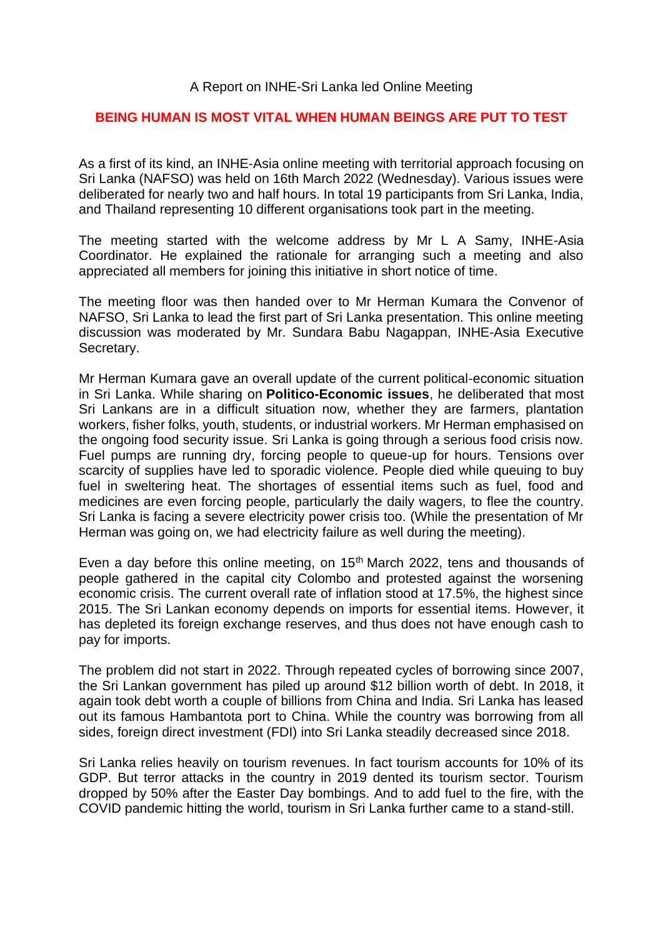## A Report on INHE-Sri Lanka led Online Meeting

## **BEING HUMAN IS MOST VITAL WHEN HUMAN BEINGS ARE PUT TO TEST**

As a first of its kind, an INHE-Asia online meeting with territorial approach focusing on Sri Lanka (NAFSO) was held on 16th March 2022 (Wednesday). Various issues were deliberated for nearly two and half hours. In total 19 participants from Sri Lanka, India, and Thailand representing 10 different organisations took part in the meeting.

The meeting started with the welcome address by Mr L A Samy, INHE-Asia Coordinator. He explained the rationale for arranging such a meeting and also appreciated all members for joining this initiative in short notice of time.

The meeting floor was then handed over to Mr Herman Kumara the Convenor of NAFSO, Sri Lanka to lead the first part of Sri Lanka presentation. This online meeting discussion was moderated by Mr. Sundara Babu Nagappan, INHE-Asia Executive Secretary.

Mr Herman Kumara gave an overall update of the current political-economic situation in Sri Lanka. While sharing on **Politico-Economic issues**, he deliberated that most Sri Lankans are in a difficult situation now, whether they are farmers, plantation workers, fisher folks, youth, students, or industrial workers. Mr Herman emphasised on the ongoing food security issue. Sri Lanka is going through a serious food crisis now. Fuel pumps are running dry, forcing people to queue-up for hours. Tensions over scarcity of supplies have led to sporadic violence. People died while queuing to buy fuel in sweltering heat. The shortages of essential items such as fuel, food and medicines are even forcing people, particularly the daily wagers, to flee the country. Sri Lanka is facing a severe electricity power crisis too. (While the presentation of Mr Herman was going on, we had electricity failure as well during the meeting).

Even a day before this online meeting, on 15<sup>th</sup> March 2022, tens and thousands of people gathered in the capital city Colombo and protested against the worsening economic crisis. The current overall rate of inflation stood at 17.5%, the highest since 2015. The Sri Lankan economy depends on imports for essential items. However, it has depleted its foreign exchange reserves, and thus does not have enough cash to pay for imports.

The problem did not start in 2022. Through repeated cycles of borrowing since 2007, the Sri Lankan government has piled up around \$12 billion worth of debt. In 2018, it again took debt worth a couple of billions from China and India. Sri Lanka has leased out its famous Hambantota port to China. While the country was borrowing from all sides, foreign direct investment (FDI) into Sri Lanka steadily decreased since 2018.

Sri Lanka relies heavily on tourism revenues. In fact tourism accounts for 10% of its GDP. But terror attacks in the country in 2019 dented its tourism sector. Tourism dropped by 50% after the Easter Day bombings. And to add fuel to the fire, with the COVID pandemic hitting the world, tourism in Sri Lanka further came to a stand-still.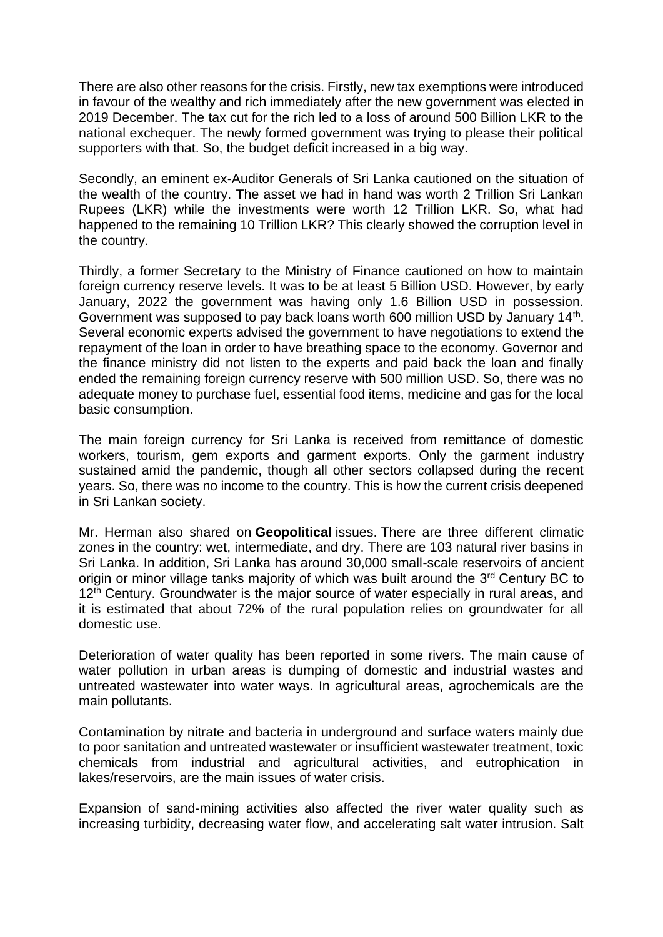There are also other reasons for the crisis. Firstly, new tax exemptions were introduced in favour of the wealthy and rich immediately after the new government was elected in 2019 December. The tax cut for the rich led to a loss of around 500 Billion LKR to the national exchequer. The newly formed government was trying to please their political supporters with that. So, the budget deficit increased in a big way.

Secondly, an eminent ex-Auditor Generals of Sri Lanka cautioned on the situation of the wealth of the country. The asset we had in hand was worth 2 Trillion Sri Lankan Rupees (LKR) while the investments were worth 12 Trillion LKR. So, what had happened to the remaining 10 Trillion LKR? This clearly showed the corruption level in the country.

Thirdly, a former Secretary to the Ministry of Finance cautioned on how to maintain foreign currency reserve levels. It was to be at least 5 Billion USD. However, by early January, 2022 the government was having only 1.6 Billion USD in possession. Government was supposed to pay back loans worth 600 million USD by January 14<sup>th</sup>. Several economic experts advised the government to have negotiations to extend the repayment of the loan in order to have breathing space to the economy. Governor and the finance ministry did not listen to the experts and paid back the loan and finally ended the remaining foreign currency reserve with 500 million USD. So, there was no adequate money to purchase fuel, essential food items, medicine and gas for the local basic consumption.

The main foreign currency for Sri Lanka is received from remittance of domestic workers, tourism, gem exports and garment exports. Only the garment industry sustained amid the pandemic, though all other sectors collapsed during the recent years. So, there was no income to the country. This is how the current crisis deepened in Sri Lankan society.

Mr. Herman also shared on **Geopolitical** issues. There are three different climatic zones in the country: wet, intermediate, and dry. There are 103 natural river basins in Sri Lanka. In addition, Sri Lanka has around 30,000 small-scale reservoirs of ancient origin or minor village tanks majority of which was built around the 3<sup>rd</sup> Century BC to  $12<sup>th</sup>$  Century. Groundwater is the major source of water especially in rural areas, and it is estimated that about 72% of the rural population relies on groundwater for all domestic use.

Deterioration of water quality has been reported in some rivers. The main cause of water pollution in urban areas is dumping of domestic and industrial wastes and untreated wastewater into water ways. In agricultural areas, agrochemicals are the main pollutants.

Contamination by nitrate and bacteria in underground and surface waters mainly due to poor sanitation and untreated wastewater or insufficient wastewater treatment, toxic chemicals from industrial and agricultural activities, and eutrophication in lakes/reservoirs, are the main issues of water crisis.

Expansion of sand-mining activities also affected the river water quality such as increasing turbidity, decreasing water flow, and accelerating salt water intrusion. Salt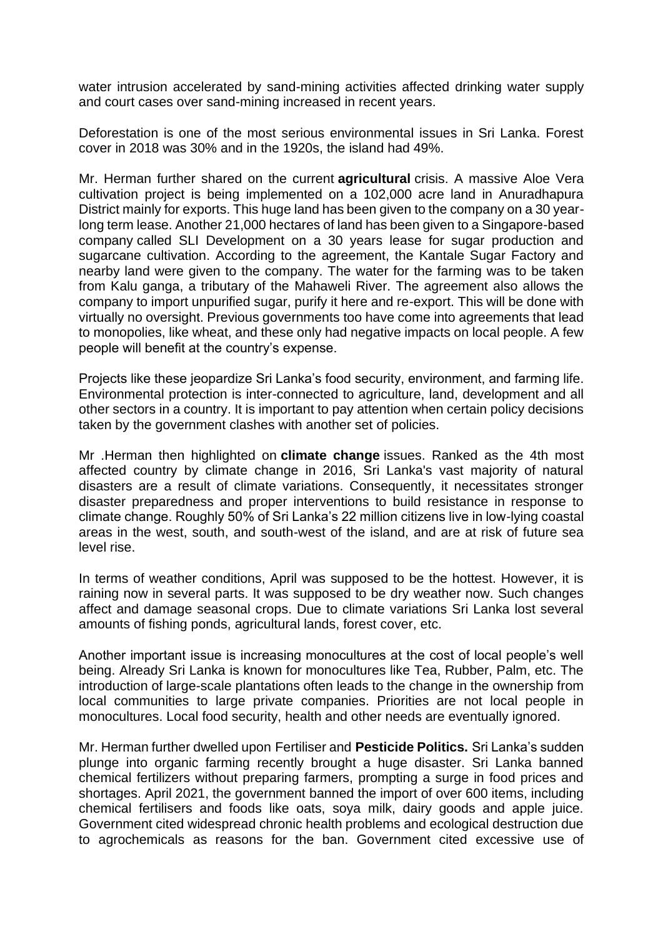water intrusion accelerated by sand-mining activities affected drinking water supply and court cases over sand-mining increased in recent years.

Deforestation is one of the most serious environmental issues in Sri Lanka. Forest cover in 2018 was 30% and in the 1920s, the island had 49%.

Mr. Herman further shared on the current **agricultural** crisis. A massive Aloe Vera cultivation project is being implemented on a 102,000 acre land in Anuradhapura District mainly for exports. This huge land has been given to the company on a 30 yearlong term lease. Another 21,000 hectares of land has been given to a Singapore-based company called SLI Development on a 30 years lease for sugar production and sugarcane cultivation. According to the agreement, the Kantale Sugar Factory and nearby land were given to the company. The water for the farming was to be taken from Kalu ganga, a tributary of the Mahaweli River. The agreement also allows the company to import unpurified sugar, purify it here and re-export. This will be done with virtually no oversight. Previous governments too have come into agreements that lead to monopolies, like wheat, and these only had negative impacts on local people. A few people will benefit at the country's expense.

Projects like these jeopardize Sri Lanka's food security, environment, and farming life. Environmental protection is inter-connected to agriculture, land, development and all other sectors in a country. It is important to pay attention when certain policy decisions taken by the government clashes with another set of policies.

Mr .Herman then highlighted on **climate change** issues. Ranked as the 4th most affected country by climate change in 2016, Sri Lanka's vast majority of natural disasters are a result of climate variations. Consequently, it necessitates stronger disaster preparedness and proper interventions to build resistance in response to climate change. Roughly 50% of Sri Lanka's 22 million citizens live in low-lying coastal areas in the west, south, and south-west of the island, and are at risk of future sea level rise.

In terms of weather conditions, April was supposed to be the hottest. However, it is raining now in several parts. It was supposed to be dry weather now. Such changes affect and damage seasonal crops. Due to climate variations Sri Lanka lost several amounts of fishing ponds, agricultural lands, forest cover, etc.

Another important issue is increasing monocultures at the cost of local people's well being. Already Sri Lanka is known for monocultures like Tea, Rubber, Palm, etc. The introduction of large-scale plantations often leads to the change in the ownership from local communities to large private companies. Priorities are not local people in monocultures. Local food security, health and other needs are eventually ignored.

Mr. Herman further dwelled upon Fertiliser and **Pesticide Politics.** Sri Lanka's sudden plunge into organic farming recently brought a huge disaster. Sri Lanka banned chemical fertilizers without preparing farmers, prompting a surge in food prices and shortages. April 2021, the government banned the import of over 600 items, including chemical fertilisers and foods like oats, soya milk, dairy goods and apple juice. Government cited widespread chronic health problems and ecological destruction due to agrochemicals as reasons for the ban. Government cited excessive use of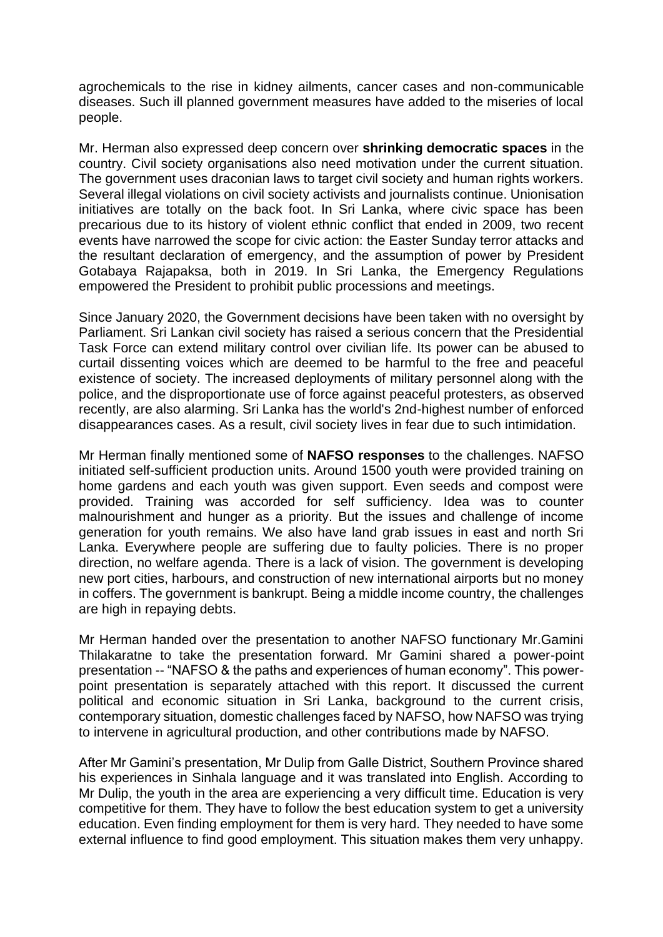agrochemicals to the rise in kidney ailments, cancer cases and non-communicable diseases. Such ill planned government measures have added to the miseries of local people.

Mr. Herman also expressed deep concern over **shrinking democratic spaces** in the country. Civil society organisations also need motivation under the current situation. The government uses draconian laws to target civil society and human rights workers. Several illegal violations on civil society activists and journalists continue. Unionisation initiatives are totally on the back foot. In Sri Lanka, where civic space has been precarious due to its history of violent ethnic conflict that ended in 2009, two recent events have narrowed the scope for civic action: the Easter Sunday terror attacks and the resultant declaration of emergency, and the assumption of power by President Gotabaya Rajapaksa, both in 2019. In Sri Lanka, the Emergency Regulations empowered the President to prohibit public processions and meetings.

Since January 2020, the Government decisions have been taken with no oversight by Parliament. Sri Lankan civil society has raised a serious concern that the Presidential Task Force can extend military control over civilian life. Its power can be abused to curtail dissenting voices which are deemed to be harmful to the free and peaceful existence of society. The increased deployments of military personnel along with the police, and the disproportionate use of force against peaceful protesters, as observed recently, are also alarming. Sri Lanka has the world's 2nd-highest number of enforced disappearances cases. As a result, civil society lives in fear due to such intimidation.

Mr Herman finally mentioned some of **NAFSO responses** to the challenges. NAFSO initiated self-sufficient production units. Around 1500 youth were provided training on home gardens and each youth was given support. Even seeds and compost were provided. Training was accorded for self sufficiency. Idea was to counter malnourishment and hunger as a priority. But the issues and challenge of income generation for youth remains. We also have land grab issues in east and north Sri Lanka. Everywhere people are suffering due to faulty policies. There is no proper direction, no welfare agenda. There is a lack of vision. The government is developing new port cities, harbours, and construction of new international airports but no money in coffers. The government is bankrupt. Being a middle income country, the challenges are high in repaying debts.

Mr Herman handed over the presentation to another NAFSO functionary Mr.Gamini Thilakaratne to take the presentation forward. Mr Gamini shared a power-point presentation -- "NAFSO & the paths and experiences of human economy". This powerpoint presentation is separately attached with this report. It discussed the current political and economic situation in Sri Lanka, background to the current crisis, contemporary situation, domestic challenges faced by NAFSO, how NAFSO was trying to intervene in agricultural production, and other contributions made by NAFSO.

After Mr Gamini's presentation, Mr Dulip from Galle District, Southern Province shared his experiences in Sinhala language and it was translated into English. According to Mr Dulip, the youth in the area are experiencing a very difficult time. Education is very competitive for them. They have to follow the best education system to get a university education. Even finding employment for them is very hard. They needed to have some external influence to find good employment. This situation makes them very unhappy.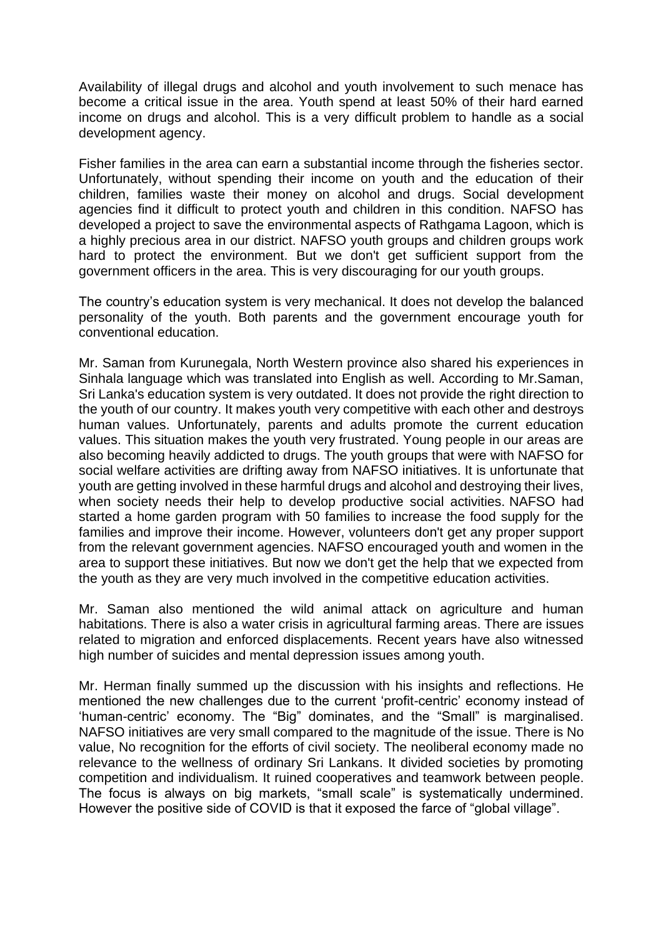Availability of illegal drugs and alcohol and youth involvement to such menace has become a critical issue in the area. Youth spend at least 50% of their hard earned income on drugs and alcohol. This is a very difficult problem to handle as a social development agency.

Fisher families in the area can earn a substantial income through the fisheries sector. Unfortunately, without spending their income on youth and the education of their children, families waste their money on alcohol and drugs. Social development agencies find it difficult to protect youth and children in this condition. NAFSO has developed a project to save the environmental aspects of Rathgama Lagoon, which is a highly precious area in our district. NAFSO youth groups and children groups work hard to protect the environment. But we don't get sufficient support from the government officers in the area. This is very discouraging for our youth groups.

The country's education system is very mechanical. It does not develop the balanced personality of the youth. Both parents and the government encourage youth for conventional education.

Mr. Saman from Kurunegala, North Western province also shared his experiences in Sinhala language which was translated into English as well. According to Mr.Saman, Sri Lanka's education system is very outdated. It does not provide the right direction to the youth of our country. It makes youth very competitive with each other and destroys human values. Unfortunately, parents and adults promote the current education values. This situation makes the youth very frustrated. Young people in our areas are also becoming heavily addicted to drugs. The youth groups that were with NAFSO for social welfare activities are drifting away from NAFSO initiatives. It is unfortunate that youth are getting involved in these harmful drugs and alcohol and destroying their lives, when society needs their help to develop productive social activities. NAFSO had started a home garden program with 50 families to increase the food supply for the families and improve their income. However, volunteers don't get any proper support from the relevant government agencies. NAFSO encouraged youth and women in the area to support these initiatives. But now we don't get the help that we expected from the youth as they are very much involved in the competitive education activities.

Mr. Saman also mentioned the wild animal attack on agriculture and human habitations. There is also a water crisis in agricultural farming areas. There are issues related to migration and enforced displacements. Recent years have also witnessed high number of suicides and mental depression issues among youth.

Mr. Herman finally summed up the discussion with his insights and reflections. He mentioned the new challenges due to the current 'profit-centric' economy instead of 'human-centric' economy. The "Big" dominates, and the "Small" is marginalised. NAFSO initiatives are very small compared to the magnitude of the issue. There is No value, No recognition for the efforts of civil society. The neoliberal economy made no relevance to the wellness of ordinary Sri Lankans. It divided societies by promoting competition and individualism. It ruined cooperatives and teamwork between people. The focus is always on big markets, "small scale" is systematically undermined. However the positive side of COVID is that it exposed the farce of "global village".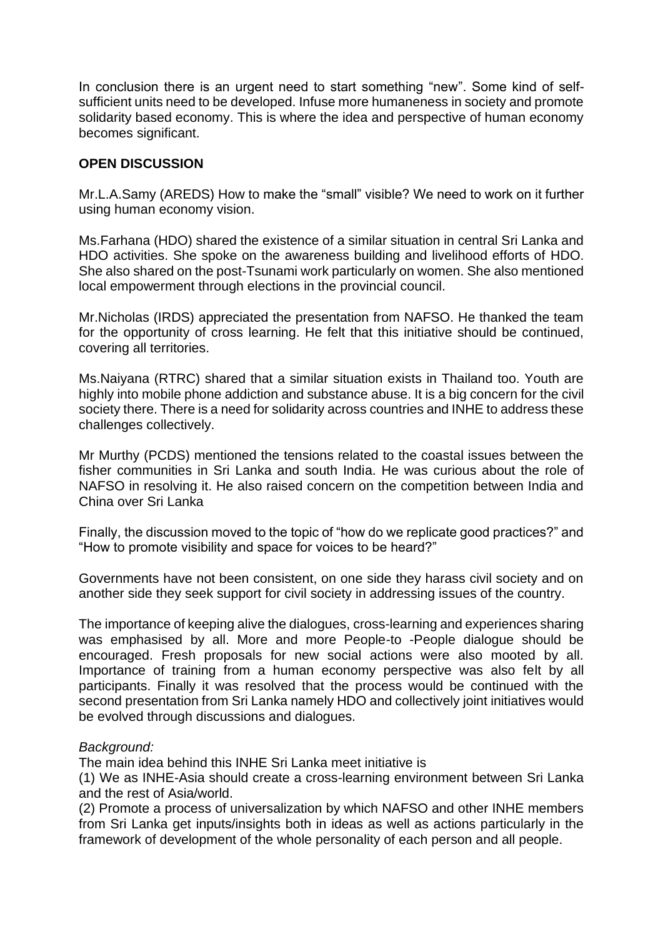In conclusion there is an urgent need to start something "new". Some kind of selfsufficient units need to be developed. Infuse more humaneness in society and promote solidarity based economy. This is where the idea and perspective of human economy becomes significant.

## **OPEN DISCUSSION**

Mr.L.A.Samy (AREDS) How to make the "small" visible? We need to work on it further using human economy vision.

Ms.Farhana (HDO) shared the existence of a similar situation in central Sri Lanka and HDO activities. She spoke on the awareness building and livelihood efforts of HDO. She also shared on the post-Tsunami work particularly on women. She also mentioned local empowerment through elections in the provincial council.

Mr.Nicholas (IRDS) appreciated the presentation from NAFSO. He thanked the team for the opportunity of cross learning. He felt that this initiative should be continued, covering all territories.

Ms.Naiyana (RTRC) shared that a similar situation exists in Thailand too. Youth are highly into mobile phone addiction and substance abuse. It is a big concern for the civil society there. There is a need for solidarity across countries and INHE to address these challenges collectively.

Mr Murthy (PCDS) mentioned the tensions related to the coastal issues between the fisher communities in Sri Lanka and south India. He was curious about the role of NAFSO in resolving it. He also raised concern on the competition between India and China over Sri Lanka

Finally, the discussion moved to the topic of "how do we replicate good practices?" and "How to promote visibility and space for voices to be heard?"

Governments have not been consistent, on one side they harass civil society and on another side they seek support for civil society in addressing issues of the country.

The importance of keeping alive the dialogues, cross-learning and experiences sharing was emphasised by all. More and more People-to -People dialogue should be encouraged. Fresh proposals for new social actions were also mooted by all. Importance of training from a human economy perspective was also felt by all participants. Finally it was resolved that the process would be continued with the second presentation from Sri Lanka namely HDO and collectively joint initiatives would be evolved through discussions and dialogues.

## *Background:*

The main idea behind this INHE Sri Lanka meet initiative is

(1) We as INHE-Asia should create a cross-learning environment between Sri Lanka and the rest of Asia/world.

(2) Promote a process of universalization by which NAFSO and other INHE members from Sri Lanka get inputs/insights both in ideas as well as actions particularly in the framework of development of the whole personality of each person and all people.